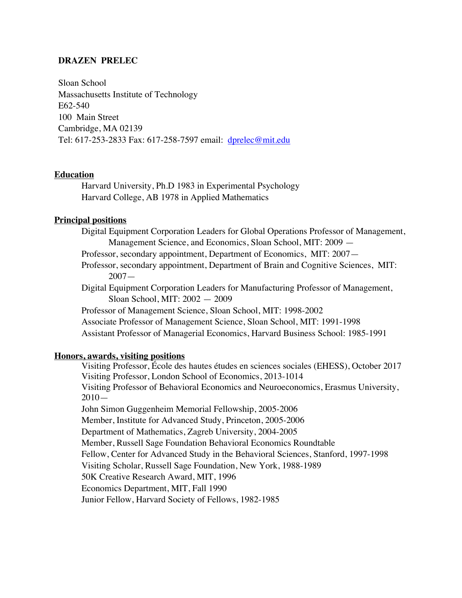## **DRAZEN PRELEC**

Sloan School Massachusetts Institute of Technology E62-540 100 Main Street Cambridge, MA 02139 Tel: 617-253-2833 Fax: 617-258-7597 email: dprelec@mit.edu

### **Education**

Harvard University, Ph.D 1983 in Experimental Psychology Harvard College, AB 1978 in Applied Mathematics

### **Principal positions**

Digital Equipment Corporation Leaders for Global Operations Professor of Management, Management Science, and Economics, Sloan School, MIT: 2009 —

Professor, secondary appointment, Department of Economics, MIT: 2007—

Professor, secondary appointment, Department of Brain and Cognitive Sciences, MIT: 2007—

Digital Equipment Corporation Leaders for Manufacturing Professor of Management, Sloan School, MIT: 2002 — 2009

Professor of Management Science, Sloan School, MIT: 1998-2002 Associate Professor of Management Science, Sloan School, MIT: 1991-1998

Assistant Professor of Managerial Economics, Harvard Business School: 1985-1991

# **Honors, awards, visiting positions**

Visiting Professor, École des hautes études en sciences sociales (EHESS), October 2017 Visiting Professor, London School of Economics, 2013-1014 Visiting Professor of Behavioral Economics and Neuroeconomics, Erasmus University, 2010— John Simon Guggenheim Memorial Fellowship, 2005-2006 Member, Institute for Advanced Study, Princeton, 2005-2006 Department of Mathematics, Zagreb University, 2004-2005 Member, Russell Sage Foundation Behavioral Economics Roundtable Fellow, Center for Advanced Study in the Behavioral Sciences, Stanford, 1997-1998 Visiting Scholar, Russell Sage Foundation, New York, 1988-1989 50K Creative Research Award, MIT, 1996 Economics Department, MIT, Fall 1990 Junior Fellow, Harvard Society of Fellows, 1982-1985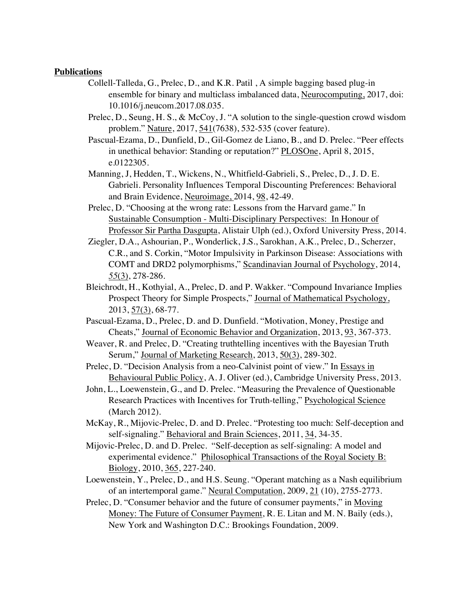## **Publications**

- Collell-Talleda, G., Prelec, D., and K.R. Patil , A simple bagging based plug-in ensemble for binary and multiclass imbalanced data, Neurocomputing, 2017, doi: 10.1016/j.neucom.2017.08.035.
- Prelec, D., Seung, H. S., & McCoy, J. "A solution to the single-question crowd wisdom problem." Nature, 2017, 541(7638), 532-535 (cover feature).
- Pascual-Ezama, D., Dunfield, D., Gil-Gomez de Liano, B., and D. Prelec. "Peer effects in unethical behavior: Standing or reputation?" PLOSOne, April 8, 2015, e.0122305.
- Manning, J, Hedden, T., Wickens, N., Whitfield-Gabrieli, S., Prelec, D., J. D. E. Gabrieli. Personality Influences Temporal Discounting Preferences: Behavioral and Brain Evidence, Neuroimage, 2014, 98, 42-49.
- Prelec, D. "Choosing at the wrong rate: Lessons from the Harvard game." In Sustainable Consumption - Multi-Disciplinary Perspectives: In Honour of Professor Sir Partha Dasgupta, Alistair Ulph (ed.), Oxford University Press, 2014.
- Ziegler, D.A., Ashourian, P., Wonderlick, J.S., Sarokhan, A.K., Prelec, D., Scherzer, C.R., and S. Corkin, "Motor Impulsivity in Parkinson Disease: Associations with COMT and DRD2 polymorphisms," Scandinavian Journal of Psychology, 2014, *55*(3), 278-286.
- Bleichrodt, H., Kothyial, A., Prelec, D. and P. Wakker. "Compound Invariance Implies Prospect Theory for Simple Prospects," Journal of Mathematical Psychology, 2013, 57(3), 68-77.
- Pascual-Ezama, D., Prelec, D. and D. Dunfield. "Motivation, Money, Prestige and Cheats," Journal of Economic Behavior and Organization, 2013, 93, 367-373.
- Weaver, R. and Prelec, D. "Creating truthtelling incentives with the Bayesian Truth Serum," Journal of Marketing Research, 2013, 50(3), 289-302.
- Prelec, D. "Decision Analysis from a neo-Calvinist point of view." In Essays in Behavioural Public Policy, A. J. Oliver (ed.), Cambridge University Press, 2013.
- John, L., Loewenstein, G., and D. Prelec. "Measuring the Prevalence of Questionable Research Practices with Incentives for Truth-telling," Psychological Science (March 2012).
- McKay, R., Mijovic-Prelec, D. and D. Prelec. "Protesting too much: Self-deception and self-signaling." Behavioral and Brain Sciences, 2011, 34, 34-35.
- Mijovic-Prelec, D. and D. Prelec. "Self-deception as self-signaling: A model and experimental evidence." Philosophical Transactions of the Royal Society B: Biology, 2010, 365, 227-240.
- Loewenstein, Y., Prelec, D., and H.S. Seung. "Operant matching as a Nash equilibrium of an intertemporal game." Neural Computation, 2009, 21 (10), 2755-2773.
- Prelec, D. "Consumer behavior and the future of consumer payments," in Moving Money: The Future of Consumer Payment, R. E. Litan and M. N. Baily (eds.), New York and Washington D.C.: Brookings Foundation, 2009.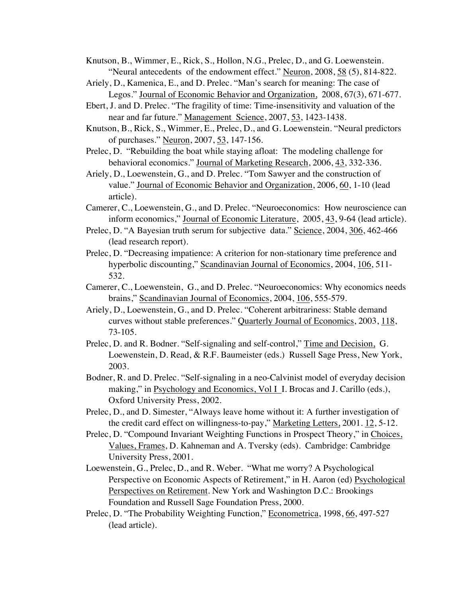- Knutson, B., Wimmer, E., Rick, S., Hollon, N.G., Prelec, D., and G. Loewenstein. "Neural antecedents of the endowment effect." Neuron, 2008, 58 (5), 814-822.
- Ariely, D., Kamenica, E., and D. Prelec. "Man's search for meaning: The case of Legos." Journal of Economic Behavior and Organization, 2008, 67(3), 671-677.
- Ebert, J. and D. Prelec. "The fragility of time: Time-insensitivity and valuation of the near and far future." Management Science, 2007, 53, 1423-1438.
- Knutson, B., Rick, S., Wimmer, E., Prelec, D., and G. Loewenstein. "Neural predictors of purchases." Neuron, 2007, 53, 147-156.
- Prelec, D. "Rebuilding the boat while staying afloat: The modeling challenge for behavioral economics." Journal of Marketing Research, 2006, 43, 332-336.
- Ariely, D., Loewenstein, G., and D. Prelec. "Tom Sawyer and the construction of value." Journal of Economic Behavior and Organization, 2006, 60, 1-10 (lead article).
- Camerer, C., Loewenstein, G., and D. Prelec. "Neuroeconomics: How neuroscience can inform economics," Journal of Economic Literature, 2005, 43, 9-64 (lead article).
- Prelec, D. "A Bayesian truth serum for subjective data." Science, 2004, 306, 462-466 (lead research report).
- Prelec, D. "Decreasing impatience: A criterion for non-stationary time preference and hyperbolic discounting," Scandinavian Journal of Economics, 2004, 106, 511- 532.
- Camerer, C., Loewenstein, G., and D. Prelec. "Neuroeconomics: Why economics needs brains," Scandinavian Journal of Economics, 2004, 106, 555-579.
- Ariely, D., Loewenstein, G., and D. Prelec. "Coherent arbitrariness: Stable demand curves without stable preferences." Quarterly Journal of Economics, 2003, 118, 73-105.
- Prelec, D. and R. Bodner. "Self-signaling and self-control," Time and Decision, G. Loewenstein, D. Read, & R.F. Baumeister (eds.) Russell Sage Press, New York, 2003.
- Bodner, R. and D. Prelec. "Self-signaling in a neo-Calvinist model of everyday decision making," in Psychology and Economics, Vol I I. Brocas and J. Carillo (eds.), Oxford University Press, 2002.
- Prelec, D., and D. Simester, "Always leave home without it: A further investigation of the credit card effect on willingness-to-pay," Marketing Letters, 2001. 12, 5-12.
- Prelec, D. "Compound Invariant Weighting Functions in Prospect Theory," in Choices, Values, Frames, D. Kahneman and A. Tversky (eds). Cambridge: Cambridge University Press, 2001.
- Loewenstein, G., Prelec, D., and R. Weber. "What me worry? A Psychological Perspective on Economic Aspects of Retirement," in H. Aaron (ed) Psychological Perspectives on Retirement. New York and Washington D.C.: Brookings Foundation and Russell Sage Foundation Press, 2000.
- Prelec, D. "The Probability Weighting Function," Econometrica, 1998, 66, 497-527 (lead article).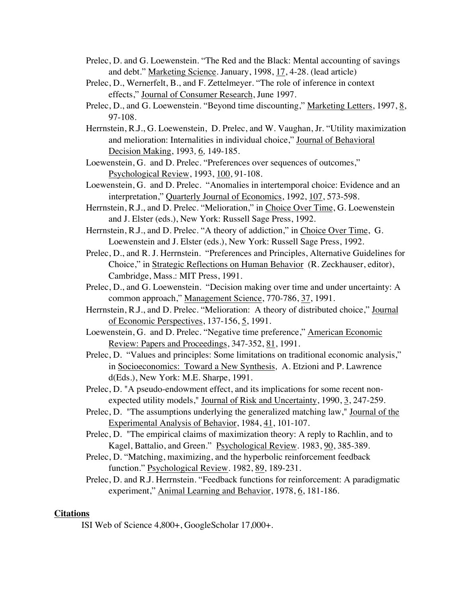- Prelec, D. and G. Loewenstein. "The Red and the Black: Mental accounting of savings and debt." Marketing Science. January, 1998, 17, 4-28. (lead article)
- Prelec, D., Wernerfelt, B., and F. Zettelmeyer. "The role of inference in context effects," Journal of Consumer Research, June 1997.
- Prelec, D., and G. Loewenstein. "Beyond time discounting," Marketing Letters, 1997, 8, 97-108.
- Herrnstein, R.J., G. Loewenstein, D. Prelec, and W. Vaughan, Jr. "Utility maximization and melioration: Internalities in individual choice," Journal of Behavioral Decision Making, 1993*,* 6*,* 149-185.
- Loewenstein, G. and D. Prelec. "Preferences over sequences of outcomes," Psychological Review, 1993, 100, 91-108.
- Loewenstein, G. and D. Prelec. "Anomalies in intertemporal choice: Evidence and an interpretation," Quarterly Journal of Economics, 1992, 107, 573-598.
- Herrnstein, R.J., and D. Prelec. "Melioration," in Choice Over Time, G. Loewenstein and J. Elster (eds.), New York: Russell Sage Press, 1992.
- Herrnstein, R.J., and D. Prelec. "A theory of addiction," in Choice Over Time, G. Loewenstein and J. Elster (eds.), New York: Russell Sage Press, 1992.
- Prelec, D., and R. J. Herrnstein. "Preferences and Principles, Alternative Guidelines for Choice," in Strategic Reflections on Human Behavior (R. Zeckhauser, editor), Cambridge, Mass.: MIT Press, 1991.
- Prelec, D., and G. Loewenstein. "Decision making over time and under uncertainty: A common approach," Management Science, 770-786, 37, 1991.
- Herrnstein, R.J., and D. Prelec. "Melioration: A theory of distributed choice," Journal of Economic Perspectives, 137-156, 5, 1991.
- Loewenstein, G. and D. Prelec. "Negative time preference," American Economic Review: Papers and Proceedings, 347-352, 81, 1991.
- Prelec, D. "Values and principles: Some limitations on traditional economic analysis," in Socioeconomics: Toward a New Synthesis*,* A. Etzioni and P. Lawrence d(Eds.), New York: M.E. Sharpe, 1991.
- Prelec, D. "A pseudo-endowment effect, and its implications for some recent nonexpected utility models," Journal of Risk and Uncertainty, 1990, 3, 247-259.
- Prelec, D. "The assumptions underlying the generalized matching law," Journal of the Experimental Analysis of Behavior, 1984, 41, 101-107.
- Prelec, D. "The empirical claims of maximization theory: A reply to Rachlin, and to Kagel, Battalio, and Green." Psychological Review. 1983, 90, 385-389.
- Prelec, D. "Matching, maximizing, and the hyperbolic reinforcement feedback function." Psychological Review*.* 1982, 89, 189-231.
- Prelec, D. and R.J. Herrnstein. "Feedback functions for reinforcement: A paradigmatic experiment," Animal Learning and Behavior, 1978, 6, 181-186.

# **Citations**

ISI Web of Science 4,800+, GoogleScholar 17,000+.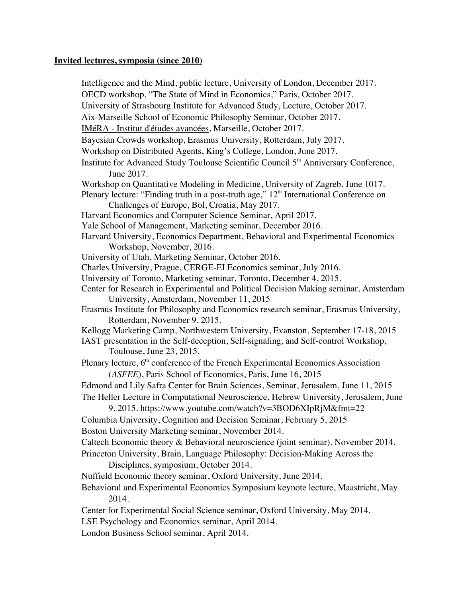### **Invited lectures, symposia (since 2010)**

Intelligence and the Mind, public lecture, University of London, December 2017. OECD workshop, "The State of Mind in Economics," Paris, October 2017. University of Strasbourg Institute for Advanced Study, Lecture, October 2017. Aix-Marseille School of Economic Philosophy Seminar, October 2017. IMéRA - Institut d'études avancées, Marseille, October 2017. Bayesian Crowds workshop, Erasmus University, Rotterdam, July 2017. Workshop on Distributed Agents, King's College, London, June 2017. Institute for Advanced Study Toulouse Scientific Council 5<sup>th</sup> Anniversary Conference, June 2017. Workshop on Quantitative Modeling in Medicine, University of Zagreb, June 1017. Plenary lecture: "Finding truth in a post-truth age,"  $12<sup>th</sup>$  International Conference on Challenges of Europe, Bol, Croatia, May 2017. Harvard Economics and Computer Science Seminar, April 2017. Yale School of Management, Marketing seminar, December 2016. Harvard University, Economics Department, Behavioral and Experimental Economics Workshop, November, 2016. University of Utah, Marketing Seminar, October 2016. Charles University, Prague, CERGE-EI Economics seminar, July 2016. University of Toronto, Marketing seminar, Toronto, December 4, 2015. Center for Research in Experimental and Political Decision Making seminar, Amsterdam University, Amsterdam, November 11, 2015 Erasmus Institute for Philosophy and Economics research seminar, Erasmus University, Rotterdam, November 9, 2015. Kellogg Marketing Camp, Northwestern University, Evanston, September 17-18, 2015 IAST presentation in the Self-deception, Self-signaling, and Self-control Workshop, Toulouse, June 23, 2015. Plenary lecture,  $6<sup>th</sup>$  conference of the French Experimental Economics Association (*ASFEE*), Paris School of Economics, Paris, June 16, 2015 Edmond and Lily Safra Center for Brain Sciences, Seminar, Jerusalem, June 11, 2015 The Heller Lecture in Computational Neuroscience, Hebrew University, Jerusalem, June 9, 2015. https://www.youtube.com/watch?v=3BOD6XIpRjM&fmt=22 Columbia University, Cognition and Decision Seminar, February 5, 2015 Boston University Marketing seminar, November 2014. Caltech Economic theory & Behavioral neuroscience (joint seminar), November 2014. Princeton University, Brain, Language Philosophy: Decision-Making Across the Disciplines, symposium, October 2014. Nuffield Economic theory seminar, Oxford University, June 2014. Behavioral and Experimental Economics Symposium keynote lecture, Maastricht, May 2014. Center for Experimental Social Science seminar, Oxford University, May 2014. LSE Psychology and Economics seminar, April 2014.

London Business School seminar, April 2014.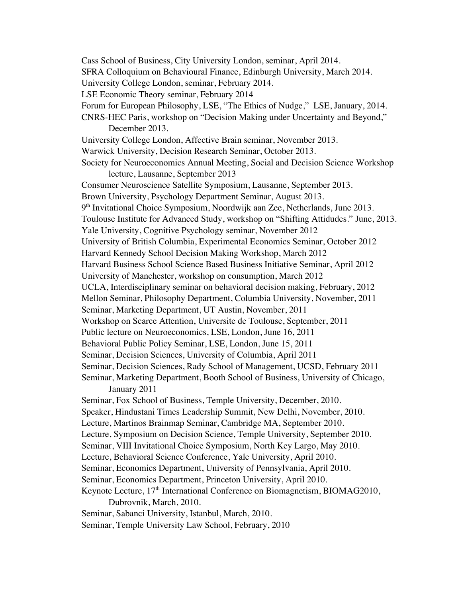Cass School of Business, City University London, seminar, April 2014. SFRA Colloquium on Behavioural Finance, Edinburgh University, March 2014. University College London, seminar, February 2014. LSE Economic Theory seminar, February 2014 Forum for European Philosophy, LSE, "The Ethics of Nudge," LSE, January, 2014. CNRS-HEC Paris, workshop on "Decision Making under Uncertainty and Beyond," December 2013. University College London, Affective Brain seminar, November 2013. Warwick University, Decision Research Seminar, October 2013. Society for Neuroeconomics Annual Meeting, Social and Decision Science Workshop lecture, Lausanne, September 2013 Consumer Neuroscience Satellite Symposium, Lausanne, September 2013. Brown University, Psychology Department Seminar, August 2013. 9<sup>th</sup> Invitational Choice Symposium, Noordwijk aan Zee, Netherlands, June 2013. Toulouse Institute for Advanced Study, workshop on "Shifting Attidudes." June, 2013. Yale University, Cognitive Psychology seminar, November 2012 University of British Columbia, Experimental Economics Seminar, October 2012 Harvard Kennedy School Decision Making Workshop, March 2012 Harvard Business School Science Based Business Initiative Seminar, April 2012 University of Manchester, workshop on consumption, March 2012 UCLA, Interdisciplinary seminar on behavioral decision making, February, 2012 Mellon Seminar, Philosophy Department, Columbia University, November, 2011 Seminar, Marketing Department, UT Austin, November, 2011 Workshop on Scarce Attention, Universite de Toulouse, September, 2011 Public lecture on Neuroeconomics, LSE, London, June 16, 2011 Behavioral Public Policy Seminar, LSE, London, June 15, 2011 Seminar, Decision Sciences, University of Columbia, April 2011 Seminar, Decision Sciences, Rady School of Management, UCSD, February 2011 Seminar, Marketing Department, Booth School of Business, University of Chicago, January 2011 Seminar, Fox School of Business, Temple University, December, 2010. Speaker, Hindustani Times Leadership Summit, New Delhi, November, 2010. Lecture, Martinos Brainmap Seminar, Cambridge MA, September 2010. Lecture, Symposium on Decision Science, Temple University, September 2010. Seminar, VIII Invitational Choice Symposium, North Key Largo, May 2010. Lecture, Behavioral Science Conference, Yale University, April 2010. Seminar, Economics Department, University of Pennsylvania, April 2010. Seminar, Economics Department, Princeton University, April 2010. Keynote Lecture, 17<sup>th</sup> International Conference on Biomagnetism, BIOMAG2010, Dubrovnik, March, 2010. Seminar, Sabanci University, Istanbul, March, 2010. Seminar, Temple University Law School, February, 2010